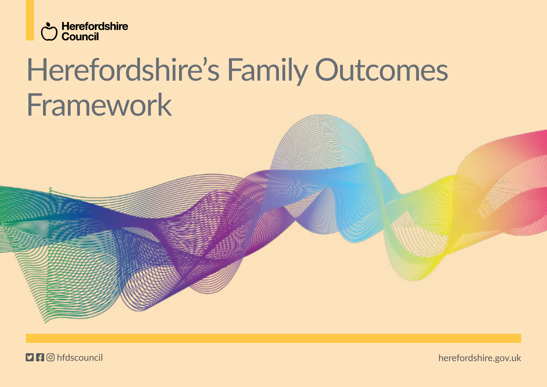

# Herefordshire's Family Outcomes Framework

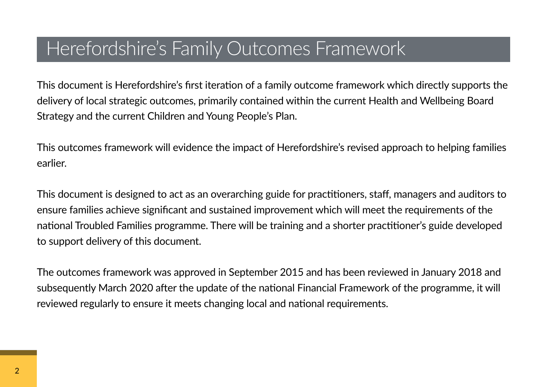# Herefordshire's Family Outcomes Framework

This document is Herefordshire's first iteration of a family outcome framework which directly supports the delivery of local strategic outcomes, primarily contained within the current Health and Wellbeing Board Strategy and the current Children and Young People's Plan.

This outcomes framework will evidence the impact of Herefordshire's revised approach to helping families earlier.

This document is designed to act as an overarching guide for practitioners, staff, managers and auditors to ensure families achieve significant and sustained improvement which will meet the requirements of the national Troubled Families programme. There will be training and a shorter practitioner's guide developed to support delivery of this document.

The outcomes framework was approved in September 2015 and has been reviewed in January 2018 and subsequently March 2020 after the update of the national Financial Framework of the programme, it will reviewed regularly to ensure it meets changing local and national requirements.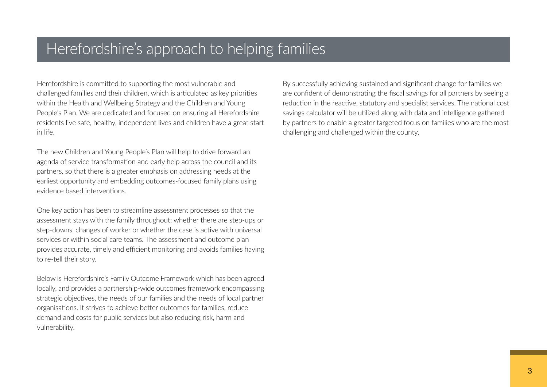# Herefordshire's approach to helping families

Herefordshire is committed to supporting the most vulnerable and challenged families and their children, which is articulated as key priorities within the Health and Wellbeing Strategy and the Children and Young People's Plan. We are dedicated and focused on ensuring all Herefordshire residents live safe, healthy, independent lives and children have a great start in life.

The new Children and Young People's Plan will help to drive forward an agenda of service transformation and early help across the council and its partners, so that there is a greater emphasis on addressing needs at the earliest opportunity and embedding outcomes-focused family plans using evidence based interventions.

One key action has been to streamline assessment processes so that the assessment stays with the family throughout; whether there are step-ups or step-downs, changes of worker or whether the case is active with universal services or within social care teams. The assessment and outcome plan provides accurate, timely and efficient monitoring and avoids families having to re-tell their story.

Below is Herefordshire's Family Outcome Framework which has been agreed locally, and provides a partnership-wide outcomes framework encompassing strategic objectives, the needs of our families and the needs of local partner organisations. It strives to achieve better outcomes for families, reduce demand and costs for public services but also reducing risk, harm and vulnerability.

By successfully achieving sustained and significant change for families we are confident of demonstrating the fiscal savings for all partners by seeing a reduction in the reactive, statutory and specialist services. The national cost savings calculator will be utilized along with data and intelligence gathered by partners to enable a greater targeted focus on families who are the most challenging and challenged within the county.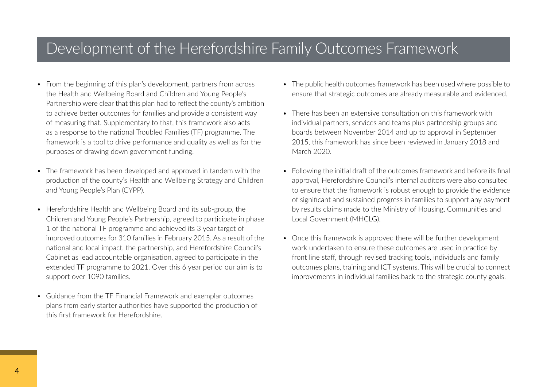# Development of the Herefordshire Family Outcomes Framework

- From the beginning of this plan's development, partners from across the Health and Wellbeing Board and Children and Young People's Partnership were clear that this plan had to reflect the county's ambition to achieve better outcomes for families and provide a consistent way of measuring that. Supplementary to that, this framework also acts as a response to the national Troubled Families (TF) programme. The framework is a tool to drive performance and quality as well as for the purposes of drawing down government funding.
- The framework has been developed and approved in tandem with the production of the county's Health and Wellbeing Strategy and Children and Young People's Plan (CYPP).
- Herefordshire Health and Wellbeing Board and its sub-group, the Children and Young People's Partnership, agreed to participate in phase 1 of the national TF programme and achieved its 3 year target of improved outcomes for 310 families in February 2015. As a result of the national and local impact, the partnership, and Herefordshire Council's Cabinet as lead accountable organisation, agreed to participate in the extended TF programme to 2021. Over this 6 year period our aim is to support over 1090 families.
- Guidance from the TF Financial Framework and exemplar outcomes plans from early starter authorities have supported the production of this first framework for Herefordshire.
- The public health outcomes framework has been used where possible to ensure that strategic outcomes are already measurable and evidenced.
- There has been an extensive consultation on this framework with individual partners, services and teams plus partnership groups and boards between November 2014 and up to approval in September 2015, this framework has since been reviewed in January 2018 and March 2020.
- Following the initial draft of the outcomes framework and before its final approval, Herefordshire Council's internal auditors were also consulted to ensure that the framework is robust enough to provide the evidence of significant and sustained progress in families to support any payment by results claims made to the Ministry of Housing, Communities and Local Government (MHCLG).
- Once this framework is approved there will be further development work undertaken to ensure these outcomes are used in practice by front line staff, through revised tracking tools, individuals and family outcomes plans, training and ICT systems. This will be crucial to connect improvements in individual families back to the strategic county goals.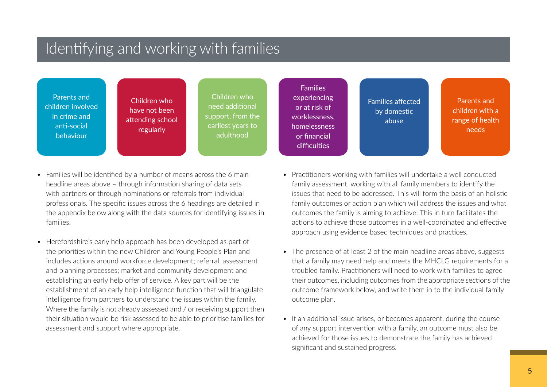# Identifying and working with families

Parents and children involved in crime and anti-social behaviour

Children who have not been attending school regularly

Children who need additional support, from the earliest years to adulthood

Families experiencing or at risk of worklessness, homelessness or financial difficulties

Families affected by domestic abuse

Parents and children with a range of health needs

- Families will be identified by a number of means across the 6 main headline areas above – through information sharing of data sets with partners or through nominations or referrals from individual professionals. The specific issues across the 6 headings are detailed in the appendix below along with the data sources for identifying issues in families.
- Herefordshire's early help approach has been developed as part of the priorities within the new Children and Young People's Plan and includes actions around workforce development; referral, assessment and planning processes; market and community development and establishing an early help offer of service. A key part will be the establishment of an early help intelligence function that will triangulate intelligence from partners to understand the issues within the family. Where the family is not already assessed and / or receiving support then their situation would be risk assessed to be able to prioritise families for assessment and support where appropriate.
- Practitioners working with families will undertake a well conducted family assessment, working with all family members to identify the issues that need to be addressed. This will form the basis of an holistic family outcomes or action plan which will address the issues and what outcomes the family is aiming to achieve. This in turn facilitates the actions to achieve those outcomes in a well-coordinated and effective approach using evidence based techniques and practices.
- The presence of at least 2 of the main headline areas above, suggests that a family may need help and meets the MHCLG requirements for a troubled family. Practitioners will need to work with families to agree their outcomes, including outcomes from the appropriate sections of the outcome framework below, and write them in to the individual family outcome plan.
- If an additional issue arises, or becomes apparent, during the course of any support intervention with a family, an outcome must also be achieved for those issues to demonstrate the family has achieved significant and sustained progress.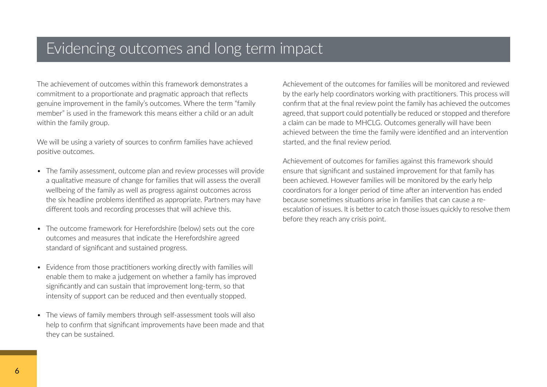# Evidencing outcomes and long term impact

The achievement of outcomes within this framework demonstrates a commitment to a proportionate and pragmatic approach that reflects genuine improvement in the family's outcomes. Where the term "family member" is used in the framework this means either a child or an adult within the family group.

We will be using a variety of sources to confirm families have achieved positive outcomes.

- The family assessment, outcome plan and review processes will provide a qualitative measure of change for families that will assess the overall wellbeing of the family as well as progress against outcomes across the six headline problems identified as appropriate. Partners may have different tools and recording processes that will achieve this.
- The outcome framework for Herefordshire (below) sets out the core outcomes and measures that indicate the Herefordshire agreed standard of significant and sustained progress.
- Evidence from those practitioners working directly with families will enable them to make a judgement on whether a family has improved significantly and can sustain that improvement long-term, so that intensity of support can be reduced and then eventually stopped.
- The views of family members through self-assessment tools will also help to confirm that significant improvements have been made and that they can be sustained.

Achievement of the outcomes for families will be monitored and reviewed by the early help coordinators working with practitioners. This process will confirm that at the final review point the family has achieved the outcomes agreed, that support could potentially be reduced or stopped and therefore a claim can be made to MHCLG. Outcomes generally will have been achieved between the time the family were identified and an intervention started, and the final review period.

Achievement of outcomes for families against this framework should ensure that significant and sustained improvement for that family has been achieved. However families will be monitored by the early help coordinators for a longer period of time after an intervention has ended because sometimes situations arise in families that can cause a reescalation of issues. It is better to catch those issues quickly to resolve them before they reach any crisis point.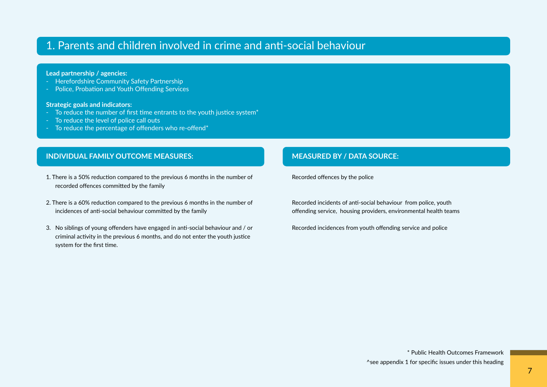# 1. Parents and children involved in crime and anti-social behaviour

### **Lead partnership / agencies:**

- Herefordshire Community Safety Partnership
- Police, Probation and Youth Offending Services

#### **Strategic goals and indicators:**

- To reduce the number of first time entrants to the youth justice system\*
- To reduce the level of police call outs
- To reduce the percentage of offenders who re-offend\*

## **INDIVIDUAL FAMILY OUTCOME MEASURES: MEASURED BY / DATA SOURCE:**

- 1. There is a 50% reduction compared to the previous 6 months in the number of recorded offences committed by the family
- 2. There is a 60% reduction compared to the previous 6 months in the number of incidences of anti-social behaviour committed by the family
- 3. No siblings of young offenders have engaged in anti-social behaviour and / or criminal activity in the previous 6 months, and do not enter the youth justice system for the first time.

Recorded offences by the police

Recorded incidents of anti-social behaviour from police, youth offending service, housing providers, environmental health teams

Recorded incidences from youth offending service and police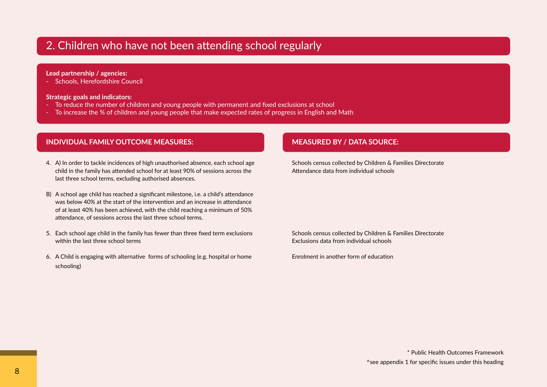# 2. Children who have not been attending school regularly

### **Lead partnership / agencies:**

- Schools, Herefordshire Council

### **Strategic goals and indicators:**

- To reduce the number of children and young people with permanent and fixed exclusions at school
- To increase the % of children and young people that make expected rates of progress in English and Math

# **INDIVIDUAL FAMILY OUTCOME MEASURES: MEASURED BY / DATA SOURCE:**

- 4. A) In order to tackle incidences of high unauthorised absence, each school age child in the family has attended school for at least 90% of sessions across the last three school terms, excluding authorised absences.
- B) A school age child has reached a significant milestone, i.e. a child's attendance was below 40% at the start of the intervention and an increase in attendance of at least 40% has been achieved, with the child reaching a minimum of 50% attendance, of sessions across the last three school terms.
- 5. Each school age child in the family has fewer than three fixed term exclusions within the last three school terms
- 6. A Child is engaging with alternative forms of schooling (e.g. hospital or home schooling)

Schools census collected by Children & Families Directorate Attendance data from individual schools

Schools census collected by Children & Families Directorate Exclusions data from individual schools

Enrolment in another form of education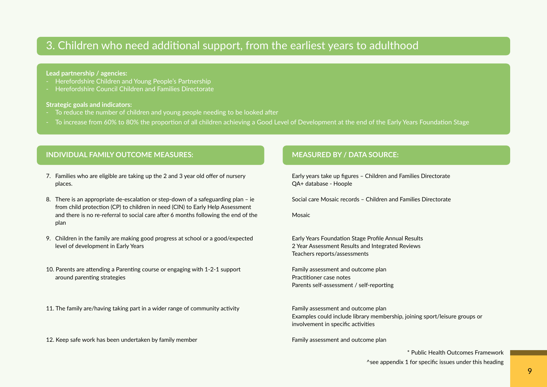# 3. Children who need additional support, from the earliest years to adulthood

#### **Lead partnership / agencies:**

- Herefordshire Children and Young People's Partnership
- Herefordshire Council Children and Families Directorate

### **Strategic goals and indicators:**

- To reduce the number of children and young people needing to be looked after
- To increase from 60% to 80% the proportion of all children achieving a Good Level of Development at the end of the Early Years Foundation Stage

# **INDIVIDUAL FAMILY OUTCOME MEASURES: MEASURED BY / DATA SOURCE:**

- 7. Families who are eligible are taking up the 2 and 3 year old offer of nursery places.
- 8. There is an appropriate de-escalation or step-down of a safeguarding plan ie from child protection (CP) to children in need (CIN) to Early Help Assessment and there is no re-referral to social care after 6 months following the end of the plan
- 9. Children in the family are making good progress at school or a good/expected level of development in Early Years
- 10. Parents are attending a Parenting course or engaging with 1-2-1 support around parenting strategies

11. The family are/having taking part in a wider range of community activity

12. Keep safe work has been undertaken by family member

Early years take up figures – Children and Families Directorate QA+ database - Hoople

Social care Mosaic records – Children and Families Directorate

Mosaic

Early Years Foundation Stage Profile Annual Results 2 Year Assessment Results and Integrated Reviews Teachers reports/assessments

Family assessment and outcome plan Practitioner case notes Parents self-assessment / self-reporting

Family assessment and outcome plan Examples could include library membership, joining sport/leisure groups or involvement in specific activities

Family assessment and outcome plan

\* Public Health Outcomes Framework

^see appendix 1 for specific issues under this heading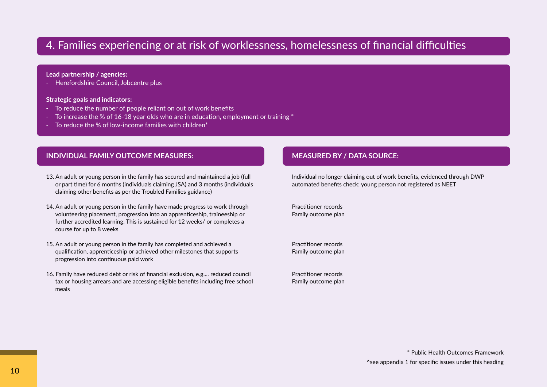# 4. Families experiencing or at risk of worklessness, homelessness of financial difficulties

### **Lead partnership / agencies:**

- Herefordshire Council, Jobcentre plus

### **Strategic goals and indicators:**

- To reduce the number of people reliant on out of work benefits
- To increase the % of 16-18 year olds who are in education, employment or training \*
- To reduce the % of low-income families with children<sup>\*</sup>

# **INDIVIDUAL FAMILY OUTCOME MEASURES: MEASURED BY / DATA SOURCE:**

- 13. An adult or young person in the family has secured and maintained a job (full or part time) for 6 months (individuals claiming JSA) and 3 months (individuals claiming other benefits as per the Troubled Families guidance)
- 14. An adult or young person in the family have made progress to work through volunteering placement, progression into an apprenticeship, traineeship or further accredited learning. This is sustained for 12 weeks/ or completes a course for up to 8 weeks
- 15. An adult or young person in the family has completed and achieved a qualification, apprenticeship or achieved other milestones that supports progression into continuous paid work
- 16. Family have reduced debt or risk of financial exclusion, e.g.... reduced council tax or housing arrears and are accessing eligible benefits including free school meals

Individual no longer claiming out of work benefits, evidenced through DWP automated benefits check; young person not registered as NEET

Practitioner records Family outcome plan

Practitioner records Family outcome plan

Practitioner records Family outcome plan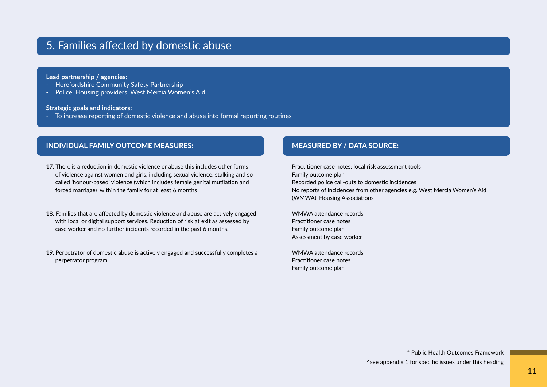# 5. Families affected by domestic abuse

### **Lead partnership / agencies:**

- Herefordshire Community Safety Partnership
- Police, Housing providers, West Mercia Women's Aid

#### **Strategic goals and indicators:**

- To increase reporting of domestic violence and abuse into formal reporting routines

# **INDIVIDUAL FAMILY OUTCOME MEASURES: MEASURED BY / DATA SOURCE:**

- 17. There is a reduction in domestic violence or abuse this includes other forms of violence against women and girls, including sexual violence, stalking and so called 'honour-based' violence (which includes female genital mutilation and forced marriage) within the family for at least 6 months
- 18. Families that are affected by domestic violence and abuse are actively engaged with local or digital support services. Reduction of risk at exit as assessed by case worker and no further incidents recorded in the past 6 months.
- 19. Perpetrator of domestic abuse is actively engaged and successfully completes a perpetrator program

Practitioner case notes; local risk assessment tools Family outcome plan Recorded police call-outs to domestic incidences No reports of incidences from other agencies e.g. West Mercia Women's Aid (WMWA), Housing Associations

WMWA attendance records Practitioner case notes Family outcome plan Assessment by case worker

WMWA attendance records Practitioner case notes Family outcome plan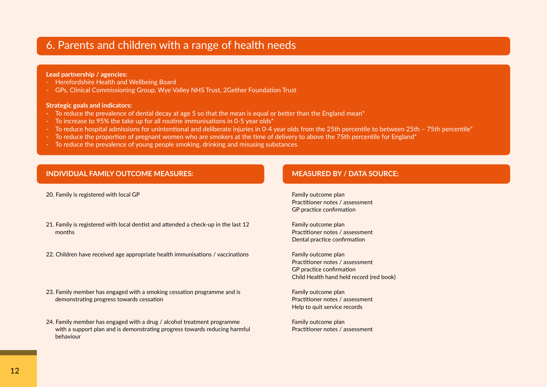# 6. Parents and children with a range of health needs

### **Lead partnership / agencies:**

- Herefordshire Health and Wellbeing Board
- GPs, Clinical Commissioning Group, Wye Valley NHS Trust, 2Gether Foundation Trust

### **Strategic goals and indicators:**

- **-** To reduce the prevalence of dental decay at age 5 so that the mean is equal or better than the England mean\*
- To increase to 95% the take up for all routine immunisations in 0-5 year olds\*
- To reduce hospital admissions for unintentional and deliberate injuries in 0-4 year olds from the 25th percentile to between 25th 75th percentile<sup>\*</sup>
- To reduce the proportion of pregnant women who are smokers at the time of delivery to above the 75th percentile for England\*
- To reduce the prevalence of young people smoking, drinking and misusing substances

# **INDIVIDUAL FAMILY OUTCOME MEASURES: MEASURED BY / DATA SOURCE:**

20. Family is registered with local GP

- 21. Family is registered with local dentist and attended a check-up in the last 12 months
- 22. Children have received age appropriate health immunisations / vaccinations
- 23. Family member has engaged with a smoking cessation programme and is demonstrating progress towards cessation
- 24. Family member has engaged with a drug / alcohol treatment programme with a support plan and is demonstrating progress towards reducing harmful behaviour

Family outcome plan Practitioner notes / assessment GP practice confirmation

Family outcome plan Practitioner notes / assessment Dental practice confirmation

Family outcome plan Practitioner notes / assessment GP practice confirmation Child Health hand held record (red book)

Family outcome plan Practitioner notes / assessment Help to quit service records

Family outcome plan Practitioner notes / assessment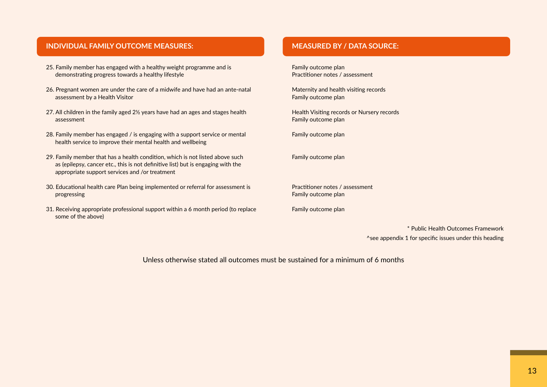# **INDIVIDUAL FAMILY OUTCOME MEASURES: MEASURED BY / DATA SOURCE:**

- 25. Family member has engaged with a healthy weight programme and is demonstrating progress towards a healthy lifestyle
- 26. Pregnant women are under the care of a midwife and have had an ante-natal assessment by a Health Visitor
- 27. All children in the family aged 2½ years have had an ages and stages health assessment
- 28. Family member has engaged / is engaging with a support service or mental health service to improve their mental health and wellbeing
- 29. Family member that has a health condition, which is not listed above such as (epilepsy, cancer etc., this is not definitive list) but is engaging with the appropriate support services and /or treatment
- 30. Educational health care Plan being implemented or referral for assessment is progressing
- 31. Receiving appropriate professional support within a 6 month period (to replace some of the above)

Family outcome plan Practitioner notes / assessment

Maternity and health visiting records Family outcome plan

Health Visiting records or Nursery records Family outcome plan

Family outcome plan

Family outcome plan

Practitioner notes / assessment Family outcome plan

Family outcome plan

\* Public Health Outcomes Framework ^see appendix 1 for specific issues under this heading

Unless otherwise stated all outcomes must be sustained for a minimum of 6 months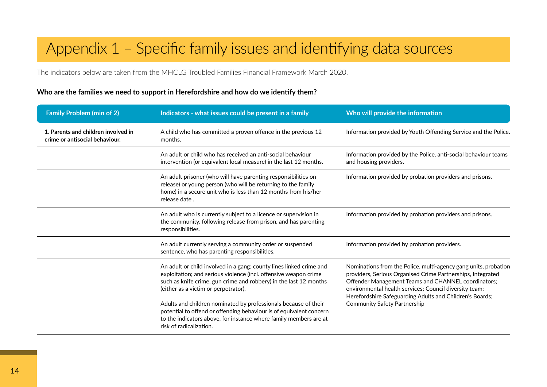# Appendix 1 – Specific family issues and identifying data sources

The indicators below are taken from the MHCLG Troubled Families Financial Framework March 2020.

# **Who are the families we need to support in Herefordshire and how do we identify them?**

| <b>Family Problem (min of 2)</b>                                                                                                                                                                                                       | Indicators - what issues could be present in a family                                                                                                                                                                                                | Who will provide the information                                                                                                                                                                                                                                                                            |
|----------------------------------------------------------------------------------------------------------------------------------------------------------------------------------------------------------------------------------------|------------------------------------------------------------------------------------------------------------------------------------------------------------------------------------------------------------------------------------------------------|-------------------------------------------------------------------------------------------------------------------------------------------------------------------------------------------------------------------------------------------------------------------------------------------------------------|
| 1. Parents and children involved in<br>crime or antisocial behaviour.                                                                                                                                                                  | A child who has committed a proven offence in the previous 12<br>months.                                                                                                                                                                             | Information provided by Youth Offending Service and the Police.                                                                                                                                                                                                                                             |
|                                                                                                                                                                                                                                        | An adult or child who has received an anti-social behaviour<br>intervention (or equivalent local measure) in the last 12 months.                                                                                                                     | Information provided by the Police, anti-social behaviour teams<br>and housing providers.                                                                                                                                                                                                                   |
|                                                                                                                                                                                                                                        | An adult prisoner (who will have parenting responsibilities on<br>release) or young person (who will be returning to the family<br>home) in a secure unit who is less than 12 months from his/her<br>release date.                                   | Information provided by probation providers and prisons.                                                                                                                                                                                                                                                    |
|                                                                                                                                                                                                                                        | An adult who is currently subject to a licence or supervision in<br>the community, following release from prison, and has parenting<br>responsibilities.                                                                                             | Information provided by probation providers and prisons.                                                                                                                                                                                                                                                    |
|                                                                                                                                                                                                                                        | An adult currently serving a community order or suspended<br>sentence, who has parenting responsibilities.                                                                                                                                           | Information provided by probation providers.                                                                                                                                                                                                                                                                |
|                                                                                                                                                                                                                                        | An adult or child involved in a gang; county lines linked crime and<br>exploitation; and serious violence (incl. offensive weapon crime<br>such as knife crime, gun crime and robbery) in the last 12 months<br>(either as a victim or perpetrator). | Nominations from the Police, multi-agency gang units, probation<br>providers, Serious Organised Crime Partnerships, Integrated<br>Offender Management Teams and CHANNEL coordinators;<br>environmental health services; Council diversity team;<br>Herefordshire Safeguarding Adults and Children's Boards; |
| Adults and children nominated by professionals because of their<br>potential to offend or offending behaviour is of equivalent concern<br>to the indicators above, for instance where family members are at<br>risk of radicalization. | <b>Community Safety Partnership</b>                                                                                                                                                                                                                  |                                                                                                                                                                                                                                                                                                             |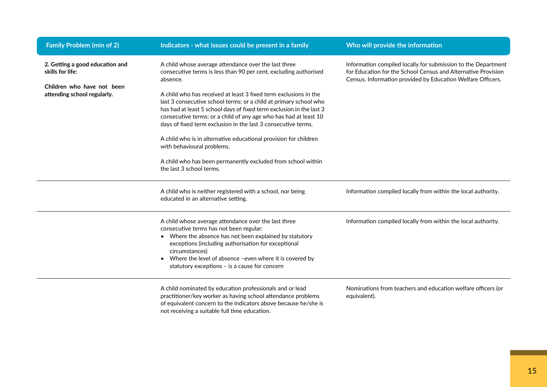| <b>Family Problem (min of 2)</b>                          | Indicators - what issues could be present in a family                                                                                                                                                                                                                                                                                                                                                                  | Who will provide the information                                                                                                                                                              |
|-----------------------------------------------------------|------------------------------------------------------------------------------------------------------------------------------------------------------------------------------------------------------------------------------------------------------------------------------------------------------------------------------------------------------------------------------------------------------------------------|-----------------------------------------------------------------------------------------------------------------------------------------------------------------------------------------------|
| 2. Getting a good education and<br>skills for life:       | A child whose average attendance over the last three<br>consecutive terms is less than 90 per cent, excluding authorised<br>absence.                                                                                                                                                                                                                                                                                   | Information compiled locally for submission to the Department<br>for Education for the School Census and Alternative Provision<br>Census. Information provided by Education Welfare Officers. |
| Children who have not been<br>attending school regularly. | A child who has received at least 3 fixed term exclusions in the<br>last 3 consecutive school terms; or a child at primary school who<br>has had at least 5 school days of fixed term exclusion in the last 3<br>consecutive terms; or a child of any age who has had at least 10<br>days of fixed term exclusion in the last 3 consecutive terms.<br>A child who is in alternative educational provision for children |                                                                                                                                                                                               |
|                                                           | with behavioural problems.<br>A child who has been permanently excluded from school within<br>the last 3 school terms.                                                                                                                                                                                                                                                                                                 |                                                                                                                                                                                               |
|                                                           | A child who is neither registered with a school, nor being<br>educated in an alternative setting.                                                                                                                                                                                                                                                                                                                      | Information compiled locally from within the local authority.                                                                                                                                 |
|                                                           | A child whose average attendance over the last three<br>consecutive terms has not been regular:<br>• Where the absence has not been explained by statutory<br>exceptions (including authorisation for exceptional<br>circumstances)<br>Where the level of absence -even where it is covered by<br>statutory exceptions - is a cause for concern                                                                        | Information compiled locally from within the local authority.                                                                                                                                 |
|                                                           | A child nominated by education professionals and or lead<br>practitioner/key worker as having school attendance problems<br>of equivalent concern to the indicators above because he/she is<br>not receiving a suitable full time education.                                                                                                                                                                           | Nominations from teachers and education welfare officers (or<br>equivalent).                                                                                                                  |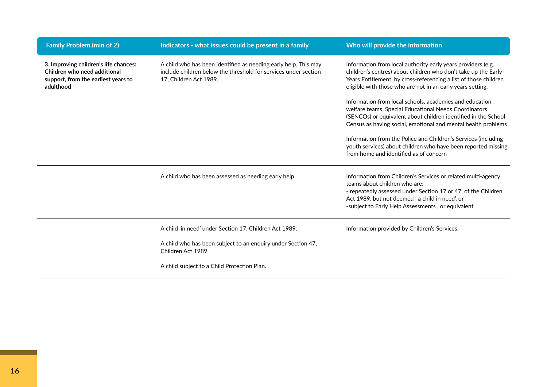| <b>Family Problem (min of 2)</b>                                                                                          | Indicators - what issues could be present in a family                                                                                                        | Who will provide the information                                                                                                                                                                                                                                                                                                                                                     |
|---------------------------------------------------------------------------------------------------------------------------|--------------------------------------------------------------------------------------------------------------------------------------------------------------|--------------------------------------------------------------------------------------------------------------------------------------------------------------------------------------------------------------------------------------------------------------------------------------------------------------------------------------------------------------------------------------|
| 3. Improving children's life chances:<br>Children who need additional<br>support, from the earliest years to<br>adulthood | A child who has been identified as needing early help. This may<br>include children below the threshold for services under section<br>17, Children Act 1989. | Information from local authority early years providers (e.g.<br>children's centres) about children who don't take up the Early<br>Years Entitlement, by cross-referencing a list of those children<br>eligible with those who are not in an early years setting.<br>Information from local schools, academies and education<br>welfare teams, Special Educational Needs Coordinators |
|                                                                                                                           |                                                                                                                                                              | (SENCOs) or equivalent about children identified in the School<br>Census as having social, emotional and mental health problems.                                                                                                                                                                                                                                                     |
|                                                                                                                           |                                                                                                                                                              | Information from the Police and Children's Services (including<br>youth services) about children who have been reported missing<br>from home and identified as of concern                                                                                                                                                                                                            |
|                                                                                                                           | A child who has been assessed as needing early help.                                                                                                         | Information from Children's Services or related multi-agency<br>teams about children who are:<br>- repeatedly assessed under Section 17 or 47, of the Children<br>Act 1989, but not deemed ' a child in need', or<br>-subject to Early Help Assessments, or equivalent                                                                                                               |
|                                                                                                                           | A child 'in need' under Section 17, Children Act 1989.                                                                                                       | Information provided by Children's Services.                                                                                                                                                                                                                                                                                                                                         |
|                                                                                                                           | A child who has been subject to an enquiry under Section 47,<br>Children Act 1989.                                                                           |                                                                                                                                                                                                                                                                                                                                                                                      |
|                                                                                                                           | A child subject to a Child Protection Plan.                                                                                                                  |                                                                                                                                                                                                                                                                                                                                                                                      |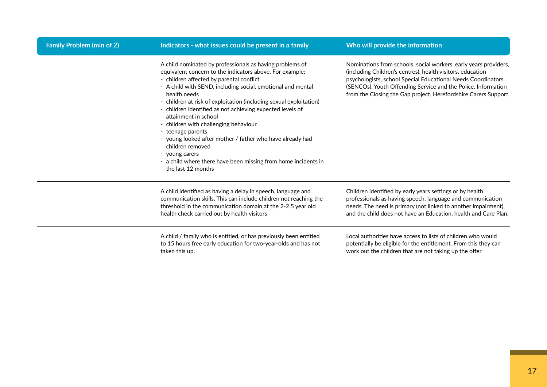| <b>Family Problem (min of 2)</b> | Indicators - what issues could be present in a family                                                                                                                                                                                                                                                                                                                                                                                                                                                                                                                                                                                                             | Who will provide the information                                                                                                                                                                                                                                                                                                  |
|----------------------------------|-------------------------------------------------------------------------------------------------------------------------------------------------------------------------------------------------------------------------------------------------------------------------------------------------------------------------------------------------------------------------------------------------------------------------------------------------------------------------------------------------------------------------------------------------------------------------------------------------------------------------------------------------------------------|-----------------------------------------------------------------------------------------------------------------------------------------------------------------------------------------------------------------------------------------------------------------------------------------------------------------------------------|
|                                  | A child nominated by professionals as having problems of<br>equivalent concern to the indicators above. For example:<br>- children affected by parental conflict<br>- A child with SEND, including social, emotional and mental<br>health needs<br>- children at risk of exploitation (including sexual exploitation)<br>- children identified as not achieving expected levels of<br>attainment in school<br>- children with challenging behaviour<br>- teenage parents<br>- young looked after mother / father who have already had<br>children removed<br>young carers<br>- a child where there have been missing from home incidents in<br>the last 12 months | Nominations from schools, social workers, early years providers,<br>(including Children's centres), health visitors, education<br>psychologists, school Special Educational Needs Coordinators<br>(SENCOs), Youth Offending Service and the Police. Information<br>from the Closing the Gap project, Herefordshire Carers Support |
|                                  | A child identified as having a delay in speech, language and<br>communication skills. This can include children not reaching the<br>threshold in the communication domain at the 2-2.5 year old<br>health check carried out by health visitors                                                                                                                                                                                                                                                                                                                                                                                                                    | Children identified by early years settings or by health<br>professionals as having speech, language and communication<br>needs. The need is primary (not linked to another impairment),<br>and the child does not have an Education, health and Care Plan.                                                                       |
|                                  | A child / family who is entitled, or has previously been entitled<br>to 15 hours free early education for two-year-olds and has not<br>taken this up.                                                                                                                                                                                                                                                                                                                                                                                                                                                                                                             | Local authorities have access to lists of children who would<br>potentially be eligible for the entitlement. From this they can<br>work out the children that are not taking up the offer                                                                                                                                         |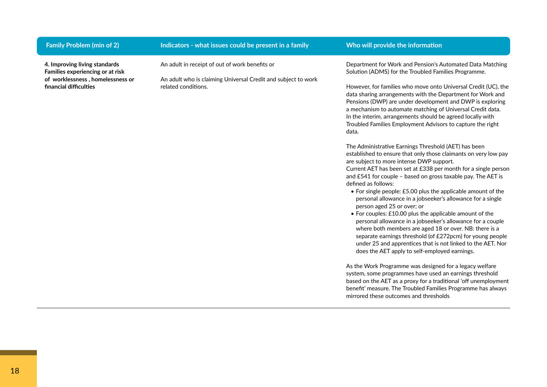| <b>Family Problem (min of 2)</b>                                                                                                | Indicators - what issues could be present in a family                                                                                  | Who will provide the information                                                                                                                                                                                                                                                                                                                                                                                                                                                                                                                                                                                                                                                                                                                                                                                                                                                                                                                                                                                                                                                                                                                                                                                                                                                                                                                                                                                                                                                                                                                                                                                                       |
|---------------------------------------------------------------------------------------------------------------------------------|----------------------------------------------------------------------------------------------------------------------------------------|----------------------------------------------------------------------------------------------------------------------------------------------------------------------------------------------------------------------------------------------------------------------------------------------------------------------------------------------------------------------------------------------------------------------------------------------------------------------------------------------------------------------------------------------------------------------------------------------------------------------------------------------------------------------------------------------------------------------------------------------------------------------------------------------------------------------------------------------------------------------------------------------------------------------------------------------------------------------------------------------------------------------------------------------------------------------------------------------------------------------------------------------------------------------------------------------------------------------------------------------------------------------------------------------------------------------------------------------------------------------------------------------------------------------------------------------------------------------------------------------------------------------------------------------------------------------------------------------------------------------------------------|
| 4. Improving living standards<br>Families experiencing or at risk<br>of worklessness, homelessness or<br>financial difficulties | An adult in receipt of out of work benefits or<br>An adult who is claiming Universal Credit and subject to work<br>related conditions. | Department for Work and Pension's Automated Data Matching<br>Solution (ADMS) for the Troubled Families Programme.<br>However, for families who move onto Universal Credit (UC), the<br>data sharing arrangements with the Department for Work and<br>Pensions (DWP) are under development and DWP is exploring<br>a mechanism to automate matching of Universal Credit data.<br>In the interim, arrangements should be agreed locally with<br>Troubled Families Employment Advisors to capture the right<br>data.<br>The Administrative Earnings Threshold (AET) has been<br>established to ensure that only those claimants on very low pay<br>are subject to more intense DWP support.<br>Current AET has been set at £338 per month for a single person<br>and £541 for couple - based on gross taxable pay. The AET is<br>defined as follows:<br>• For single people: £5.00 plus the applicable amount of the<br>personal allowance in a jobseeker's allowance for a single<br>person aged 25 or over; or<br>• For couples: £10.00 plus the applicable amount of the<br>personal allowance in a jobseeker's allowance for a couple<br>where both members are aged 18 or over. NB: there is a<br>separate earnings threshold (of £272pcm) for young people<br>under 25 and apprentices that is not linked to the AET. Nor<br>does the AET apply to self-employed earnings.<br>As the Work Programme was designed for a legacy welfare<br>system, some programmes have used an earnings threshold<br>based on the AET as a proxy for a traditional 'off unemployment<br>benefit' measure. The Troubled Families Programme has always |
|                                                                                                                                 |                                                                                                                                        | mirrored these outcomes and thresholds                                                                                                                                                                                                                                                                                                                                                                                                                                                                                                                                                                                                                                                                                                                                                                                                                                                                                                                                                                                                                                                                                                                                                                                                                                                                                                                                                                                                                                                                                                                                                                                                 |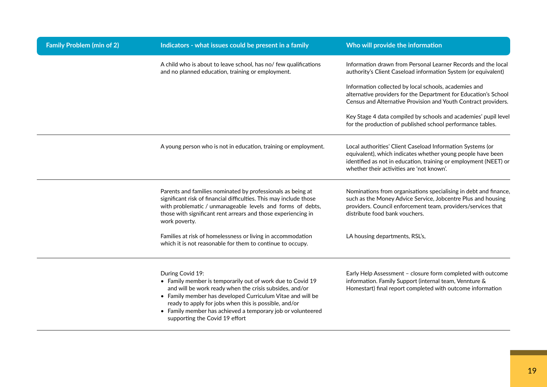| <b>Family Problem (min of 2)</b> | Indicators - what issues could be present in a family                                                                                                                                                                                                                                                                                                             | Who will provide the information                                                                                                                                                                                                           |
|----------------------------------|-------------------------------------------------------------------------------------------------------------------------------------------------------------------------------------------------------------------------------------------------------------------------------------------------------------------------------------------------------------------|--------------------------------------------------------------------------------------------------------------------------------------------------------------------------------------------------------------------------------------------|
|                                  | A child who is about to leave school, has no/ few qualifications<br>and no planned education, training or employment.                                                                                                                                                                                                                                             | Information drawn from Personal Learner Records and the local<br>authority's Client Caseload information System (or equivalent)                                                                                                            |
|                                  |                                                                                                                                                                                                                                                                                                                                                                   | Information collected by local schools, academies and<br>alternative providers for the Department for Education's School<br>Census and Alternative Provision and Youth Contract providers.                                                 |
|                                  |                                                                                                                                                                                                                                                                                                                                                                   | Key Stage 4 data compiled by schools and academies' pupil level<br>for the production of published school performance tables.                                                                                                              |
|                                  | A young person who is not in education, training or employment.                                                                                                                                                                                                                                                                                                   | Local authorities' Client Caseload Information Systems (or<br>equivalent), which indicates whether young people have been<br>identified as not in education, training or employment (NEET) or<br>whether their activities are 'not known'. |
|                                  | Parents and families nominated by professionals as being at<br>significant risk of financial difficulties. This may include those<br>with problematic / unmanageable levels and forms of debts,<br>those with significant rent arrears and those experiencing in<br>work poverty.                                                                                 | Nominations from organisations specialising in debt and finance,<br>such as the Money Advice Service, Jobcentre Plus and housing<br>providers. Council enforcement team, providers/services that<br>distribute food bank vouchers.         |
|                                  | Families at risk of homelessness or living in accommodation<br>which it is not reasonable for them to continue to occupy.                                                                                                                                                                                                                                         | LA housing departments, RSL's,                                                                                                                                                                                                             |
|                                  | During Covid 19:<br>• Family member is temporarily out of work due to Covid 19<br>and will be work ready when the crisis subsides, and/or<br>• Family member has developed Curriculum Vitae and will be<br>ready to apply for jobs when this is possible, and/or<br>• Family member has achieved a temporary job or volunteered<br>supporting the Covid 19 effort | Early Help Assessment - closure form completed with outcome<br>information. Family Support (internal team, Vennture &<br>Homestart) final report completed with outcome information                                                        |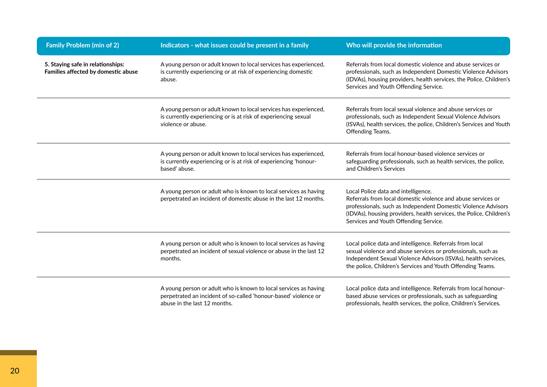| <b>Family Problem (min of 2)</b>                                         | Indicators - what issues could be present in a family                                                                                                               | Who will provide the information                                                                                                                                                                                                                                                     |
|--------------------------------------------------------------------------|---------------------------------------------------------------------------------------------------------------------------------------------------------------------|--------------------------------------------------------------------------------------------------------------------------------------------------------------------------------------------------------------------------------------------------------------------------------------|
| 5. Staying safe in relationships:<br>Families affected by domestic abuse | A young person or adult known to local services has experienced,<br>is currently experiencing or at risk of experiencing domestic<br>abuse.                         | Referrals from local domestic violence and abuse services or<br>professionals, such as Independent Domestic Violence Advisors<br>(IDVAs), housing providers, health services, the Police, Children's<br>Services and Youth Offending Service.                                        |
|                                                                          | A young person or adult known to local services has experienced,<br>is currently experiencing or is at risk of experiencing sexual<br>violence or abuse.            | Referrals from local sexual violence and abuse services or<br>professionals, such as Independent Sexual Violence Advisors<br>(ISVAs), health services, the police, Children's Services and Youth<br>Offending Teams.                                                                 |
|                                                                          | A young person or adult known to local services has experienced,<br>is currently experiencing or is at risk of experiencing 'honour-<br>based' abuse.               | Referrals from local honour-based violence services or<br>safeguarding professionals, such as health services, the police,<br>and Children's Services                                                                                                                                |
|                                                                          | A young person or adult who is known to local services as having<br>perpetrated an incident of domestic abuse in the last 12 months.                                | Local Police data and intelligence.<br>Referrals from local domestic violence and abuse services or<br>professionals, such as Independent Domestic Violence Advisors<br>(IDVAs), housing providers, health services, the Police, Children's<br>Services and Youth Offending Service. |
|                                                                          | A young person or adult who is known to local services as having<br>perpetrated an incident of sexual violence or abuse in the last 12<br>months.                   | Local police data and intelligence. Referrals from local<br>sexual violence and abuse services or professionals, such as<br>Independent Sexual Violence Advisors (ISVAs), health services,<br>the police, Children's Services and Youth Offending Teams.                             |
|                                                                          | A young person or adult who is known to local services as having<br>perpetrated an incident of so-called 'honour-based' violence or<br>abuse in the last 12 months. | Local police data and intelligence. Referrals from local honour-<br>based abuse services or professionals, such as safeguarding<br>professionals, health services, the police, Children's Services.                                                                                  |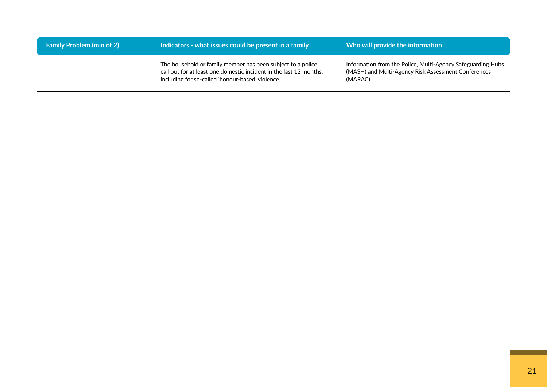| <b>Family Problem (min of 2)</b> | Indicators - what issues could be present in a family                                                                                                                                 | Who will provide the information                                                                                               |
|----------------------------------|---------------------------------------------------------------------------------------------------------------------------------------------------------------------------------------|--------------------------------------------------------------------------------------------------------------------------------|
|                                  | The household or family member has been subject to a police<br>call out for at least one domestic incident in the last 12 months,<br>including for so-called 'honour-based' violence. | Information from the Police, Multi-Agency Safeguarding Hubs<br>(MASH) and Multi-Agency Risk Assessment Conferences<br>(MARAC). |